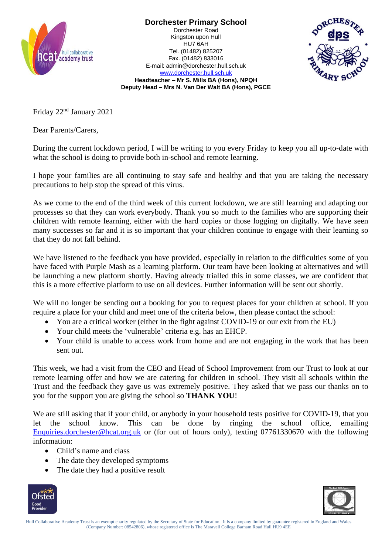

**Dorchester Primary School** Dorchester Road Kingston upon Hull HU7 6AH Tel. (01482) 825207 Fax. (01482) 833016 E-mail: admin@dorchester.hull.sch.uk



[www.dorchester.hull.sch.uk](http://www.dorchester.hull.sch.uk/) **Headteacher – Mr S. Mills BA (Hons), NPQH Deputy Head – Mrs N. Van Der Walt BA (Hons), PGCE**

Friday 22nd January 2021

Dear Parents/Carers,

During the current lockdown period, I will be writing to you every Friday to keep you all up-to-date with what the school is doing to provide both in-school and remote learning.

I hope your families are all continuing to stay safe and healthy and that you are taking the necessary precautions to help stop the spread of this virus.

As we come to the end of the third week of this current lockdown, we are still learning and adapting our processes so that they can work everybody. Thank you so much to the families who are supporting their children with remote learning, either with the hard copies or those logging on digitally. We have seen many successes so far and it is so important that your children continue to engage with their learning so that they do not fall behind.

We have listened to the feedback you have provided, especially in relation to the difficulties some of you have faced with Purple Mash as a learning platform. Our team have been looking at alternatives and will be launching a new platform shortly. Having already trialled this in some classes, we are confident that this is a more effective platform to use on all devices. Further information will be sent out shortly.

We will no longer be sending out a booking for you to request places for your children at school. If you require a place for your child and meet one of the criteria below, then please contact the school:

- You are a critical worker (either in the fight against COVID-19 or our exit from the EU)
- Your child meets the 'vulnerable' criteria e.g. has an EHCP.
- Your child is unable to access work from home and are not engaging in the work that has been sent out.

This week, we had a visit from the CEO and Head of School Improvement from our Trust to look at our remote learning offer and how we are catering for children in school. They visit all schools within the Trust and the feedback they gave us was extremely positive. They asked that we pass our thanks on to you for the support you are giving the school so **THANK YOU**!

We are still asking that if your child, or anybody in your household tests positive for COVID-19, that you let the school know. This can be done by ringing the school office, emailing [Enquiries.dorchester@hcat.org.uk](mailto:Enquiries.dorchester@hcat.org.uk) or (for out of hours only), texting 07761330670 with the following information:

- Child's name and class
- The date they developed symptoms
- The date they had a positive result